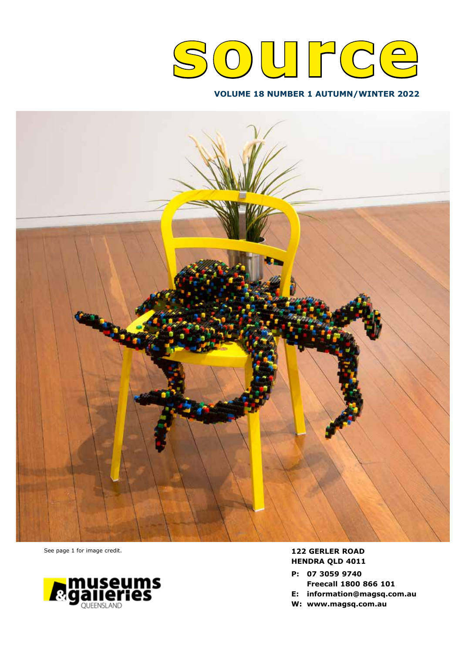# **source**

## **VOLUME 18 NUMBER 1 AUTUMN/WINTER 2022**



See page 1 for image credit.



## **122 GERLER ROAD HENDRA QLD 4011**

- **P: 07 3059 9740**
- **Freecall 1800 866 101 E: information@magsq.com.au**
- 
- **W: www.magsq.com.au**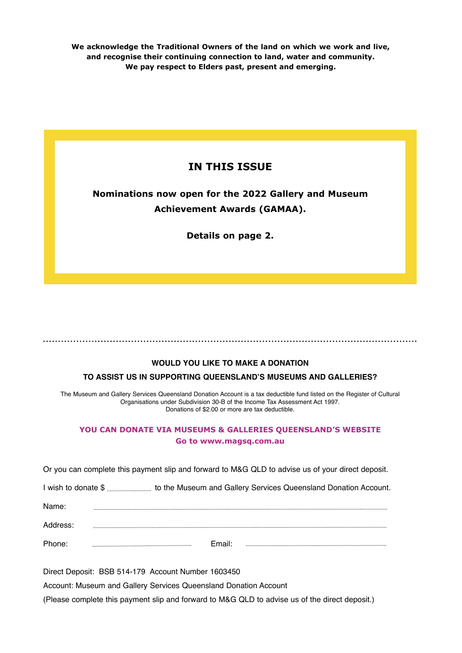**We acknowledge the Traditional Owners of the land on which we work and live, and recognise their continuing connection to land, water and community. We pay respect to Elders past, present and emerging.**

## **IN THIS ISSUE**

## **Nominations now open for the 2022 Gallery and Museum Achievement Awards (GAMAA).**

**Details on page 2.**

## **WOULD YOU LIKE TO MAKE A DONATION**

## **TO ASSIST US IN SUPPORTING QUEENSLAND'S MUSEUMS AND GALLERIES?**

The Museum and Gallery Services Queensland Donation Account is a tax deductible fund listed on the Register of Cultural Organisations under Subdivision 30-B of the Income Tax Assessment Act 1997. Donations of \$2.00 or more are tax deductible.

## **YOU CAN DONATE VIA MUSEUMS & GALLERIES QUEENSLAND'S WEBSITE Go to www.magsq.com.au**

Or you can complete this payment slip and forward to M&G QLD to advise us of your direct deposit.

I wish to donate \$ to the Museum and Gallery Services Queensland Donation Account.

| Name:    |        |  |
|----------|--------|--|
| Address: |        |  |
| Phone:   | Email: |  |

Direct Deposit: BSB 514-179 Account Number 1603450 Account: Museum and Gallery Services Queensland Donation Account (Please complete this payment slip and forward to M&G QLD to advise us of the direct deposit.)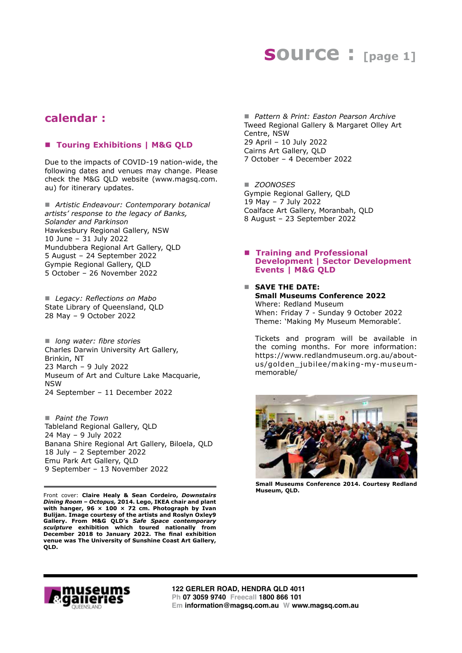## **SOUICE : [page 1]**

## **calendar :**

## ■ Touring Exhibitions | M&G QLD

Due to the impacts of COVID-19 nation-wide, the following dates and venues may change. Please check the M&G QLD website (www.magsq.com. au) for itinerary updates.

■ Artistic Endeavour: Contemporary botanical *artists' response to the legacy of Banks, Solander and Parkinson*  Hawkesbury Regional Gallery, NSW 10 June – 31 July 2022 Mundubbera Regional Art Gallery, QLD 5 August – 24 September 2022 Gympie Regional Gallery, QLD 5 October – 26 November 2022

■ Legacy: Reflections on Mabo State Library of Queensland, QLD 28 May – 9 October 2022

■ *long water: fibre stories* Charles Darwin University Art Gallery, Brinkin, NT 23 March – 9 July 2022 Museum of Art and Culture Lake Macquarie, NSW 24 September – 11 December 2022

■ *Paint the Town* Tableland Regional Gallery, QLD 24 May – 9 July 2022 Banana Shire Regional Art Gallery, Biloela, QLD 18 July – 2 September 2022 Emu Park Art Gallery, QLD 9 September – 13 November 2022

Front cover: **Claire Healy & Sean Cordeiro,** *Downstairs Dining Room – Octopus,* **2014. Lego, IKEA chair and plant with hanger, 96 × 100 × 72 cm. Photograph by Ivan Bulijan. Image courtesy of the artists and Roslyn Oxley9 Gallery. From M&G QLD's** *Safe Space contemporary sculpture* **exhibition which toured nationally from December 2018 to January 2022. The final exhibition venue was The University of Sunshine Coast Art Gallery, QLD.**

■ *Pattern & Print: Easton Pearson Archive* Tweed Regional Gallery & Margaret Olley Art Centre, NSW 29 April – 10 July 2022 Cairns Art Gallery, QLD 7 October – 4 December 2022

■ *ZOONOSES* Gympie Regional Gallery, QLD 19 May – 7 July 2022 Coalface Art Gallery, Moranbah, QLD 8 August – 23 September 2022

#### ■ **Training and Professional Development | Sector Development Events | M&G QLD**

#### n **SAVE THE DATE: Small Museums Conference 2022** Where: Redland Museum

When: Friday 7 - Sunday 9 October 2022 Theme: 'Making My Museum Memorable'.

Tickets and program will be available in the coming months. For more information: https://www.redlandmuseum.org.au/aboutus/golden\_jubilee/making-my-museummemorable/



**Small Museums Conference 2014. Courtesy Redland Museum, QLD.**

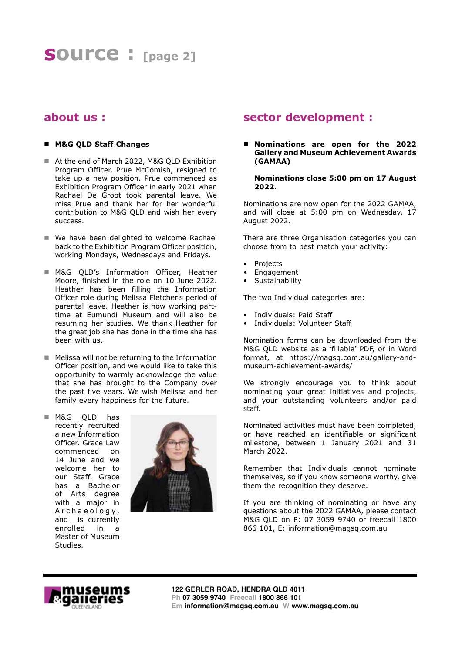## **about us :**

## n **M&G QLD Staff Changes**

- At the end of March 2022, M&G QLD Exhibition Program Officer, Prue McComish, resigned to take up a new position. Prue commenced as Exhibition Program Officer in early 2021 when Rachael De Groot took parental leave. We miss Prue and thank her for her wonderful contribution to M&G QLD and wish her every success.
- $\blacksquare$  We have been delighted to welcome Rachael back to the Exhibition Program Officer position, working Mondays, Wednesdays and Fridays.
- M&G QLD's Information Officer, Heather Moore, finished in the role on 10 June 2022. Heather has been filling the Information Officer role during Melissa Fletcher's period of parental leave. Heather is now working parttime at Eumundi Museum and will also be resuming her studies. We thank Heather for the great job she has done in the time she has been with us.
- $\blacksquare$  Melissa will not be returning to the Information Officer position, and we would like to take this opportunity to warmly acknowledge the value that she has brought to the Company over the past five years. We wish Melissa and her family every happiness for the future.
- M&G QLD has recently recruited a new Information Officer. Grace Law commenced on 14 June and we welcome her to our Staff. Grace has a Bachelor of Arts degree with a major in A r c h a e o l o g y, and is currently enrolled in a Master of Museum Studies.



## **sector development :**

## ■ Nominations are open for the 2022 **Gallery and Museum Achievement Awards (GAMAA)**

**Nominations close 5:00 pm on 17 August 2022.**

Nominations are now open for the 2022 GAMAA, and will close at 5:00 pm on Wednesday, 17 August 2022.

There are three Organisation categories you can choose from to best match your activity:

- **Projects**
- Engagement
- **Sustainability**

The two Individual categories are:

- Individuals: Paid Staff
- Individuals: Volunteer Staff

Nomination forms can be downloaded from the M&G QLD website as a 'fillable' PDF, or in Word format, at https://magsq.com.au/gallery-andmuseum-achievement-awards/

We strongly encourage you to think about nominating your great initiatives and projects, and your outstanding volunteers and/or paid staff.

Nominated activities must have been completed, or have reached an identifiable or significant milestone, between 1 January 2021 and 31 March 2022.

Remember that Individuals cannot nominate themselves, so if you know someone worthy, give them the recognition they deserve.

If you are thinking of nominating or have any questions about the 2022 GAMAA, please contact M&G QLD on P: 07 3059 9740 or freecall 1800 866 101, E: information@magsq.com.au

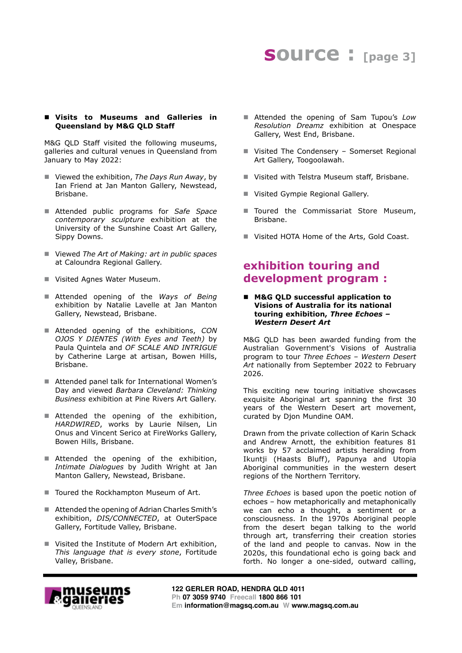# **source : [page 3]**

## ■ Visits to Museums and Galleries in **Queensland by M&G QLD Staff**

M&G QLD Staff visited the following museums, galleries and cultural venues in Queensland from January to May 2022:

- Viewed the exhibition, *The Days Run Away*, by Ian Friend at Jan Manton Gallery, Newstead, Brisbane.
- Attended public programs for *Safe Space contemporary sculpture* exhibition at the University of the Sunshine Coast Art Gallery, Sippy Downs.
- Viewed *The Art of Making: art in public spaces* at Caloundra Regional Gallery.
- Visited Agnes Water Museum.
- Attended opening of the *Ways of Being* exhibition by Natalie Lavelle at Jan Manton Gallery, Newstead, Brisbane.
- Attended opening of the exhibitions, *CON OJOS Y DIENTES (With Eyes and Teeth)* by Paula Quintela and *OF SCALE AND INTRIGUE* by Catherine Large at artisan, Bowen Hills, Brisbane.
- Attended panel talk for International Women's Day and viewed *Barbara Cleveland: Thinking Business* exhibition at Pine Rivers Art Gallery.
- Attended the opening of the exhibition, *HARDWIRED*, works by Laurie Nilsen, Lin Onus and Vincent Serico at FireWorks Gallery, Bowen Hills, Brisbane.
- Attended the opening of the exhibition, *Intimate Dialogues* by Judith Wright at Jan Manton Gallery, Newstead, Brisbane.
- Toured the Rockhampton Museum of Art.
- Attended the opening of Adrian Charles Smith's exhibition, *DIS/CONNECTED*, at OuterSpace Gallery, Fortitude Valley, Brisbane.
- Visited the Institute of Modern Art exhibition, *This language that is every stone*, Fortitude Valley, Brisbane.
- Attended the opening of Sam Tupou's Low *Resolution Dreamz* exhibition at Onespace Gallery, West End, Brisbane.
- Visited The Condensery Somerset Regional Art Gallery, Toogoolawah.
- Visited with Telstra Museum staff, Brisbane.
- Visited Gympie Regional Gallery.
- $\blacksquare$  Toured the Commissariat Store Museum, Brisbane.
- Visited HOTA Home of the Arts, Gold Coast.

## **exhibition touring and development program :**

■ M&G QLD successful application to **Visions of Australia for its national touring exhibition,** *Three Echoes – Western Desert Art*

M&G QLD has been awarded funding from the Australian Government's Visions of Australia program to tour *Three Echoes – Western Desert Art* nationally from September 2022 to February 2026.

This exciting new touring initiative showcases exquisite Aboriginal art spanning the first 30 years of the Western Desert art movement, curated by Djon Mundine OAM.

Drawn from the private collection of Karin Schack and Andrew Arnott, the exhibition features 81 works by 57 acclaimed artists heralding from Ikuntji (Haasts Bluff), Papunya and Utopia Aboriginal communities in the western desert regions of the Northern Territory.

*Three Echoes* is based upon the poetic notion of echoes – how metaphorically and metaphonically we can echo a thought, a sentiment or a consciousness. In the 1970s Aboriginal people from the desert began talking to the world through art, transferring their creation stories of the land and people to canvas. Now in the 2020s, this foundational echo is going back and forth. No longer a one-sided, outward calling,

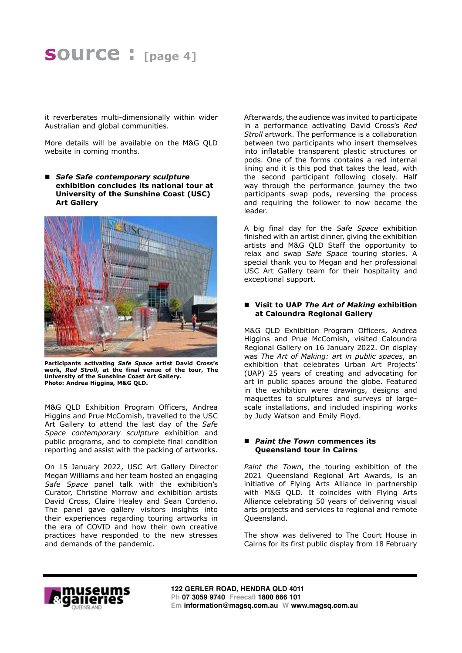it reverberates multi-dimensionally within wider Australian and global communities.

More details will be available on the M&G QLD website in coming months.

■ *Safe Safe contemporary sculpture* **exhibition concludes its national tour at University of the Sunshine Coast (USC) Art Gallery**



**Participants activating** *Safe Space* **artist David Cross's work,** *Red Stroll***, at the final venue of the tour, The University of the Sunshine Coast Art Gallery. Photo: Andrea Higgins, M&G QLD.**

M&G QLD Exhibition Program Officers, Andrea Higgins and Prue McComish, travelled to the USC Art Gallery to attend the last day of the *Safe Space contemporary sculpture* exhibition and public programs, and to complete final condition reporting and assist with the packing of artworks.

On 15 January 2022, USC Art Gallery Director Megan Williams and her team hosted an engaging *Safe Space* panel talk with the exhibition's Curator, Christine Morrow and exhibition artists David Cross, Claire Healey and Sean Corderio. The panel gave gallery visitors insights into their experiences regarding touring artworks in the era of COVID and how their own creative practices have responded to the new stresses and demands of the pandemic.

Afterwards, the audience was invited to participate in a performance activating David Cross's *Red Stroll* artwork. The performance is a collaboration between two participants who insert themselves into inflatable transparent plastic structures or pods. One of the forms contains a red internal lining and it is this pod that takes the lead, with the second participant following closely. Half way through the performance journey the two participants swap pods, reversing the process and requiring the follower to now become the leader.

A big final day for the *Safe Space* exhibition finished with an artist dinner, giving the exhibition artists and M&G QLD Staff the opportunity to relax and swap *Safe Space* touring stories. A special thank you to Megan and her professional USC Art Gallery team for their hospitality and exceptional support.

## ■ Visit to UAP *The Art of Making* exhibition **at Caloundra Regional Gallery**

M&G QLD Exhibition Program Officers, Andrea Higgins and Prue McComish, visited Caloundra Regional Gallery on 16 January 2022. On display was *The Art of Making: art in public spaces*, an exhibition that celebrates Urban Art Projects' (UAP) 25 years of creating and advocating for art in public spaces around the globe. Featured in the exhibition were drawings, designs and maquettes to sculptures and surveys of largescale installations, and included inspiring works by Judy Watson and Emily Floyd.

#### ■ *Paint the Town* commences its **Queensland tour in Cairns**

*Paint the Town*, the touring exhibition of the 2021 Queensland Regional Art Awards, is an initiative of Flying Arts Alliance in partnership with M&G QLD. It coincides with Flying Arts Alliance celebrating 50 years of delivering visual arts projects and services to regional and remote Queensland.

The show was delivered to The Court House in Cairns for its first public display from 18 February

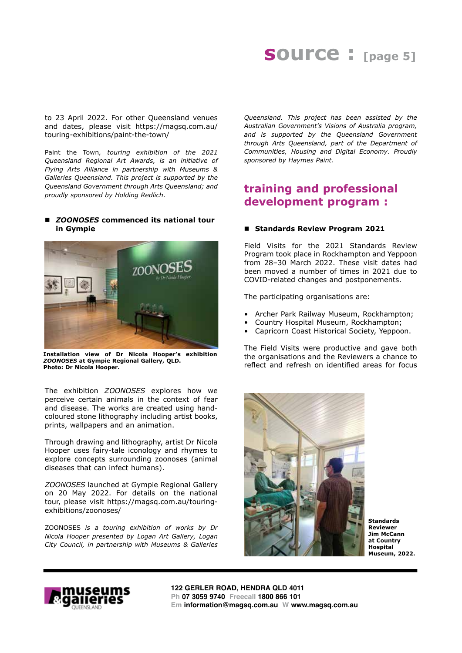# **source : [page 5]**

to 23 April 2022. For other Queensland venues and dates, please visit https://magsq.com.au/ touring-exhibitions/paint-the-town/

Paint the Town*, touring exhibition of the 2021 Queensland Regional Art Awards, is an initiative of Flying Arts Alliance in partnership with Museums & Galleries Queensland. This project is supported by the Queensland Government through Arts Queensland; and proudly sponsored by Holding Redlich.*

## ■ *ZOONOSES* commenced its national tour **in Gympie**



**Installation view of Dr Nicola Hooper's exhibition**  *ZOONOSES* **at Gympie Regional Gallery, QLD. Photo: Dr Nicola Hooper.**

The exhibition *ZOONOSES* explores how we perceive certain animals in the context of fear and disease. The works are created using handcoloured stone lithography including artist books, prints, wallpapers and an animation.

Through drawing and lithography, artist Dr Nicola Hooper uses fairy-tale iconology and rhymes to explore concepts surrounding zoonoses (animal diseases that can infect humans).

*ZOONOSES* launched at Gympie Regional Gallery on 20 May 2022. For details on the national tour, please visit https://magsq.com.au/touringexhibitions/zoonoses/

ZOONOSES *is a touring exhibition of works by Dr Nicola Hooper presented by Logan Art Gallery, Logan City Council, in partnership with Museums & Galleries* 

*Queensland. This project has been assisted by the Australian Government's Visions of Australia program, and is supported by the Queensland Government through Arts Queensland, part of the Department of Communities, Housing and Digital Economy. Proudly sponsored by Haymes Paint.*

## **training and professional development program :**

#### ■ Standards Review Program 2021

Field Visits for the 2021 Standards Review Program took place in Rockhampton and Yeppoon from 28–30 March 2022. These visit dates had been moved a number of times in 2021 due to COVID-related changes and postponements.

The participating organisations are:

- Archer Park Railway Museum, Rockhampton;
- Country Hospital Museum, Rockhampton;
- Capricorn Coast Historical Society, Yeppoon.

The Field Visits were productive and gave both the organisations and the Reviewers a chance to reflect and refresh on identified areas for focus



**Standards Reviewer Jim McCann at Country Hospital Museum, 2022.**



**122 GERLER ROAD, HENDRA QLD 4011 Ph 07 3059 9740 Freecall 1800 866 101 Em information@magsq.com.au W www.magsq.com.au**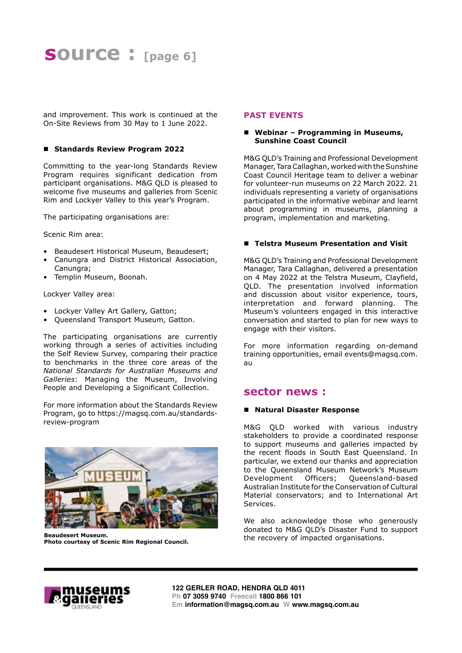and improvement. This work is continued at the On-Site Reviews from 30 May to 1 June 2022.

## ■ Standards Review Program 2022

Committing to the year-long Standards Review Program requires significant dedication from participant organisations. M&G QLD is pleased to welcome five museums and galleries from Scenic Rim and Lockyer Valley to this year's Program.

The participating organisations are:

Scenic Rim area:

- Beaudesert Historical Museum, Beaudesert;
- Canungra and District Historical Association, Canungra:
- Templin Museum, Boonah.

Lockyer Valley area:

- Lockyer Valley Art Gallery, Gatton;
- Queensland Transport Museum, Gatton.

The participating organisations are currently working through a series of activities including the Self Review Survey, comparing their practice to benchmarks in the three core areas of the *National Standards for Australian Museums and Galleries*: Managing the Museum, Involving People and Developing a Significant Collection.

For more information about the Standards Review Program, go to https://magsq.com.au/standardsreview-program



**Beaudesert Museum. Photo courtesy of Scenic Rim Regional Council.**

## **PAST EVENTS**

## ■ Webinar – Programming in Museums, **Sunshine Coast Council**

M&G QLD's Training and Professional Development Manager, Tara Callaghan, worked with the Sunshine Coast Council Heritage team to deliver a webinar for volunteer-run museums on 22 March 2022. 21 individuals representing a variety of organisations participated in the informative webinar and learnt about programming in museums, planning a program, implementation and marketing.

## ■ Telstra Museum Presentation and Visit

M&G QLD's Training and Professional Development Manager, Tara Callaghan, delivered a presentation on 4 May 2022 at the Telstra Museum, Clayfield, QLD. The presentation involved information and discussion about visitor experience, tours, interpretation and forward planning. The Museum's volunteers engaged in this interactive conversation and started to plan for new ways to engage with their visitors.

For more information regarding on-demand training opportunities, email events@magsq.com. au

## **sector news :**

## n **Natural Disaster Response**

M&G QLD worked with various industry stakeholders to provide a coordinated response to support museums and galleries impacted by the recent floods in South East Queensland. In particular, we extend our thanks and appreciation to the Queensland Museum Network's Museum Development Officers; Queensland-based Australian Institute for the Conservation of Cultural Material conservators; and to International Art Services.

We also acknowledge those who generously donated to M&G QLD's Disaster Fund to support the recovery of impacted organisations.

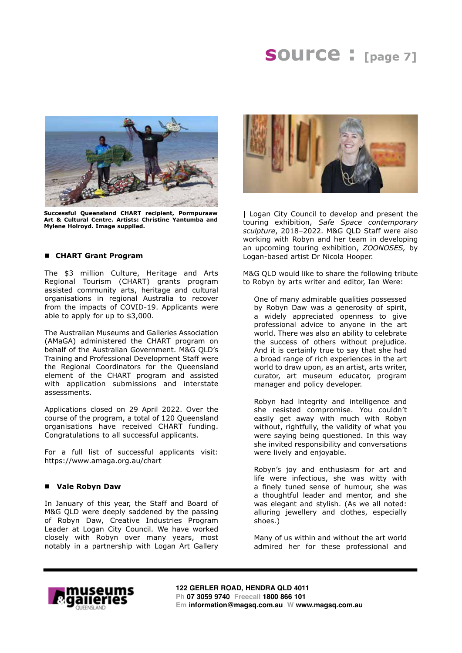# **source : [page 7]**



**Successful Queensland CHART recipient, Pormpuraaw Art & Cultural Centre. Artists: Christine Yantumba and Mylene Holroyd. Image supplied.**

#### n **CHART Grant Program**

The \$3 million Culture, Heritage and Arts Regional Tourism (CHART) grants program assisted community arts, heritage and cultural organisations in regional Australia to recover from the impacts of COVID-19. Applicants were able to apply for up to \$3,000.

The Australian Museums and Galleries Association (AMaGA) administered the CHART program on behalf of the Australian Government. M&G QLD's Training and Professional Development Staff were the Regional Coordinators for the Queensland element of the CHART program and assisted with application submissions and interstate assessments.

Applications closed on 29 April 2022. Over the course of the program, a total of 120 Queensland organisations have received CHART funding. Congratulations to all successful applicants.

For a full list of successful applicants visit: https://www.amaga.org.au/chart

#### n **Vale Robyn Daw**

In January of this year, the Staff and Board of M&G QLD were deeply saddened by the passing of Robyn Daw, Creative Industries Program Leader at Logan City Council. We have worked closely with Robyn over many years, most notably in a partnership with Logan Art Gallery



| Logan City Council to develop and present the touring exhibition, *Safe Space contemporary sculpture*, 2018–2022. M&G QLD Staff were also working with Robyn and her team in developing an upcoming touring exhibition, *ZOONOSES,* by Logan-based artist Dr Nicola Hooper.

M&G QLD would like to share the following tribute to Robyn by arts writer and editor, Ian Were:

One of many admirable qualities possessed by Robyn Daw was a generosity of spirit, a widely appreciated openness to give professional advice to anyone in the art world. There was also an ability to celebrate the success of others without prejudice. And it is certainly true to say that she had a broad range of rich experiences in the art world to draw upon, as an artist, arts writer, curator, art museum educator, program manager and policy developer.

Robyn had integrity and intelligence and she resisted compromise. You couldn't easily get away with much with Robyn without, rightfully, the validity of what you were saying being questioned. In this way she invited responsibility and conversations were lively and enjoyable.

Robyn's joy and enthusiasm for art and life were infectious, she was witty with a finely tuned sense of humour, she was a thoughtful leader and mentor, and she was elegant and stylish. (As we all noted: alluring jewellery and clothes, especially shoes.)

Many of us within and without the art world admired her for these professional and



**122 GERLER ROAD, HENDRA QLD 4011 Ph 07 3059 9740 Freecall 1800 866 101 Em information@magsq.com.au W www.magsq.com.au**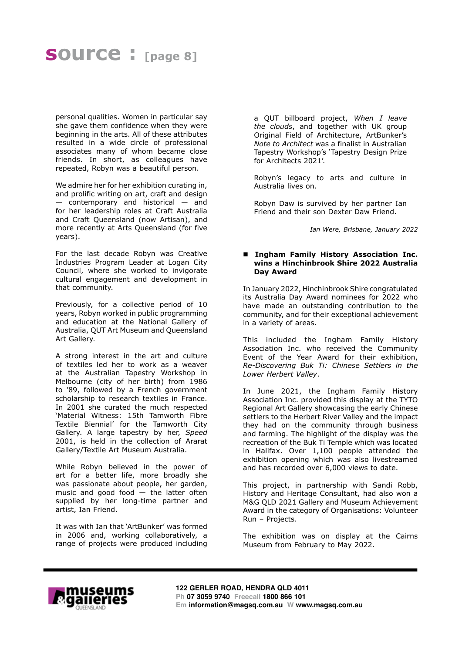# **source : [page 8]**

personal qualities. Women in particular say she gave them confidence when they were beginning in the arts. All of these attributes resulted in a wide circle of professional associates many of whom became close friends. In short, as colleagues have repeated, Robyn was a beautiful person.

We admire her for her exhibition curating in, and prolific writing on art, craft and design — contemporary and historical — and for her leadership roles at Craft Australia and Craft Queensland (now Artisan), and more recently at Arts Queensland (for five years).

For the last decade Robyn was Creative Industries Program Leader at Logan City Council, where she worked to invigorate cultural engagement and development in that community.

Previously, for a collective period of 10 years, Robyn worked in public programming and education at the National Gallery of Australia, QUT Art Museum and Queensland Art Gallery.

A strong interest in the art and culture of textiles led her to work as a weaver at the Australian Tapestry Workshop in Melbourne (city of her birth) from 1986 to '89, followed by a French government scholarship to research textiles in France. In 2001 she curated the much respected 'Material Witness: 15th Tamworth Fibre Textile Biennial' for the Tamworth City Gallery. A large tapestry by her, *Speed* 2001, is held in the collection of Ararat Gallery/Textile Art Museum Australia.

While Robyn believed in the power of art for a better life, more broadly she was passionate about people, her garden, music and good food  $-$  the latter often supplied by her long-time partner and artist, Ian Friend.

It was with Ian that 'ArtBunker' was formed in 2006 and, working collaboratively, a range of projects were produced including

a QUT billboard project, *When I leave the clouds*, and together with UK group Original Field of Architecture, ArtBunker's *Note to Architect* was a finalist in Australian Tapestry Workshop's 'Tapestry Design Prize for Architects 2021'.

Robyn's legacy to arts and culture in Australia lives on.

Robyn Daw is survived by her partner Ian Friend and their son Dexter Daw Friend.

*Ian Were, Brisbane, January 2022*

#### ■ Ingham Family History Association Inc. **wins a Hinchinbrook Shire 2022 Australia Day Award**

In January 2022, Hinchinbrook Shire congratulated its Australia Day Award nominees for 2022 who have made an outstanding contribution to the community, and for their exceptional achievement in a variety of areas.

This included the Ingham Family History Association Inc. who received the Community Event of the Year Award for their exhibition, *Re-Discovering Buk Ti: Chinese Settlers in the Lower Herbert Valley*.

In June 2021, the Ingham Family History Association Inc. provided this display at the TYTO Regional Art Gallery showcasing the early Chinese settlers to the Herbert River Valley and the impact they had on the community through business and farming. The highlight of the display was the recreation of the Buk Ti Temple which was located in Halifax. Over 1,100 people attended the exhibition opening which was also livestreamed and has recorded over 6,000 views to date.

This project, in partnership with Sandi Robb, History and Heritage Consultant, had also won a M&G QLD 2021 Gallery and Museum Achievement Award in the category of Organisations: Volunteer Run – Projects.

The exhibition was on display at the Cairns Museum from February to May 2022.

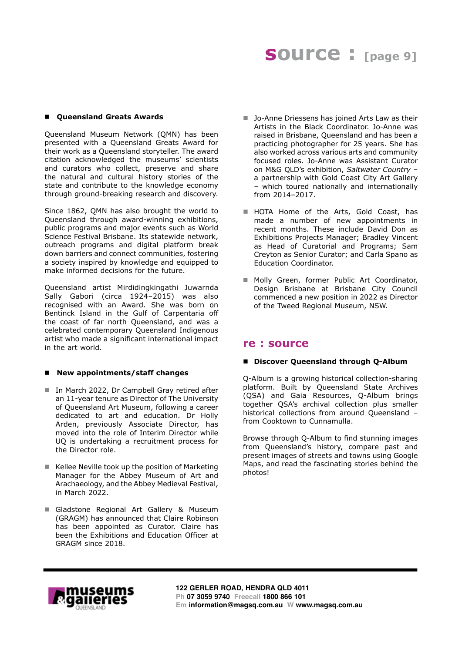# **source : [page 9]**

## ■ Queensland Greats Awards

Queensland Museum Network (QMN) has been presented with a Queensland Greats Award for their work as a Queensland storyteller. The award citation acknowledged the museums' scientists and curators who collect, preserve and share the natural and cultural history stories of the state and contribute to the knowledge economy through ground-breaking research and discovery.

Since 1862, QMN has also brought the world to Queensland through award-winning exhibitions, public programs and major events such as World Science Festival Brisbane. Its statewide network, outreach programs and digital platform break down barriers and connect communities, fostering a society inspired by knowledge and equipped to make informed decisions for the future.

Queensland artist Mirdidingkingathi Juwarnda Sally Gabori (circa 1924–2015) was also recognised with an Award. She was born on Bentinck Island in the Gulf of Carpentaria off the coast of far north Queensland, and was a celebrated contemporary Queensland Indigenous artist who made a significant international impact in the art world.

## ■ New appointments/staff changes

- In March 2022, Dr Campbell Gray retired after an 11-year tenure as Director of The University of Queensland Art Museum, following a career dedicated to art and education. Dr Holly Arden, previously Associate Director, has moved into the role of Interim Director while UQ is undertaking a recruitment process for the Director role.
- $\blacksquare$  Kellee Neville took up the position of Marketing Manager for the Abbey Museum of Art and Arachaeology, and the Abbey Medieval Festival, in March 2022.
- Gladstone Regional Art Gallery & Museum (GRAGM) has announced that Claire Robinson has been appointed as Curator. Claire has been the Exhibitions and Education Officer at GRAGM since 2018.
- Jo-Anne Driessens has joined Arts Law as their Artists in the Black Coordinator. Jo-Anne was raised in Brisbane, Queensland and has been a practicing photographer for 25 years. She has also worked across various arts and community focused roles. Jo-Anne was Assistant Curator on M&G QLD's exhibition, *Saltwater Country* – a partnership with Gold Coast City Art Gallery – which toured nationally and internationally from 2014–2017.
- HOTA Home of the Arts, Gold Coast, has made a number of new appointments in recent months. These include David Don as Exhibitions Projects Manager; Bradley Vincent as Head of Curatorial and Programs; Sam Creyton as Senior Curator; and Carla Spano as Education Coordinator.
- Molly Green, former Public Art Coordinator, Design Brisbane at Brisbane City Council commenced a new position in 2022 as Director of the Tweed Regional Museum, NSW.

## **re : source**

## ■ Discover Oueensland through O-Album

Q-Album is a growing historical collection-sharing platform. Built by Queensland State Archives (QSA) and Gaia Resources, Q-Album brings together QSA's archival collection plus smaller historical collections from around Queensland – from Cooktown to Cunnamulla.

Browse through Q-Album to find stunning images from Queensland's history, compare past and present images of streets and towns using Google Maps, and read the fascinating stories behind the photos!